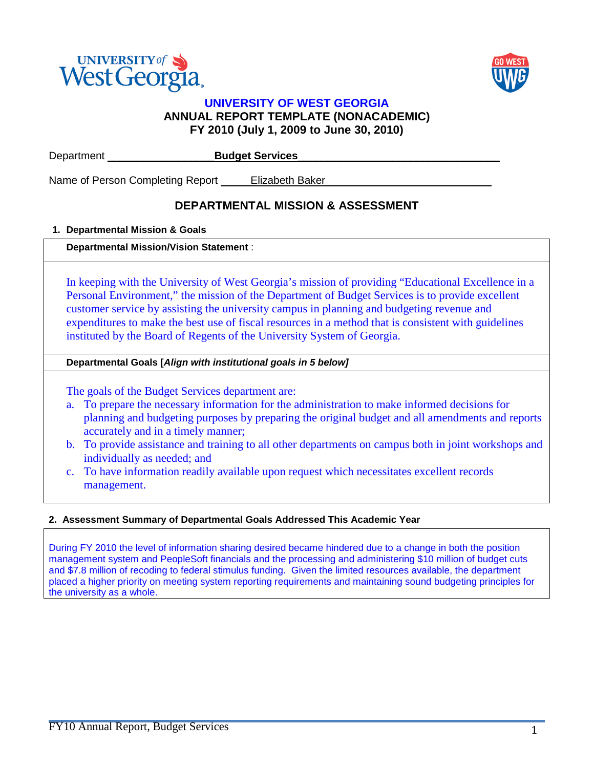



## **UNIVERSITY OF WEST GEORGIA ANNUAL REPORT TEMPLATE (NONACADEMIC) FY 2010 (July 1, 2009 to June 30, 2010)**

| Department                       | <b>Budget Services</b> |  |
|----------------------------------|------------------------|--|
| Name of Person Completing Report | <b>Elizabeth Baker</b> |  |

## **DEPARTMENTAL MISSION & ASSESSMENT**

## **1. Departmental Mission & Goals**

## **Departmental Mission/Vision Statement** :

In keeping with the University of West Georgia's mission of providing "Educational Excellence in a Personal Environment," the mission of the Department of Budget Services is to provide excellent customer service by assisting the university campus in planning and budgeting revenue and expenditures to make the best use of fiscal resources in a method that is consistent with guidelines instituted by the Board of Regents of the University System of Georgia.

## **Departmental Goals [***Align with institutional goals in 5 below]*

The goals of the Budget Services department are:

- a. To prepare the necessary information for the administration to make informed decisions for planning and budgeting purposes by preparing the original budget and all amendments and reports accurately and in a timely manner;
- b. To provide assistance and training to all other departments on campus both in joint workshops and individually as needed; and
- c. To have information readily available upon request which necessitates excellent records management.

## **2. Assessment Summary of Departmental Goals Addressed This Academic Year**

During FY 2010 the level of information sharing desired became hindered due to a change in both the position management system and PeopleSoft financials and the processing and administering \$10 million of budget cuts and \$7.8 million of recoding to federal stimulus funding. Given the limited resources available, the department placed a higher priority on meeting system reporting requirements and maintaining sound budgeting principles for the university as a whole.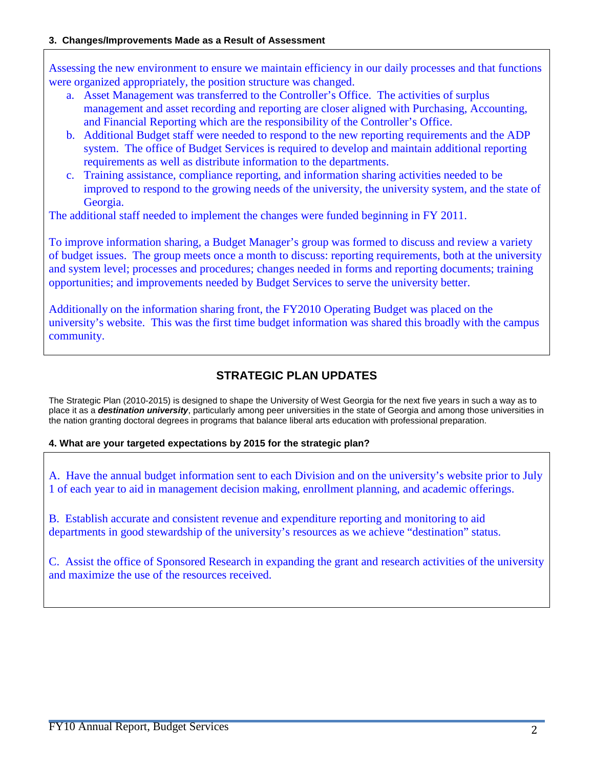### **3. Changes/Improvements Made as a Result of Assessment**

Assessing the new environment to ensure we maintain efficiency in our daily processes and that functions were organized appropriately, the position structure was changed.

- a. Asset Management was transferred to the Controller's Office. The activities of surplus management and asset recording and reporting are closer aligned with Purchasing, Accounting, and Financial Reporting which are the responsibility of the Controller's Office.
- b. Additional Budget staff were needed to respond to the new reporting requirements and the ADP system. The office of Budget Services is required to develop and maintain additional reporting requirements as well as distribute information to the departments.
- c. Training assistance, compliance reporting, and information sharing activities needed to be improved to respond to the growing needs of the university, the university system, and the state of Georgia.

The additional staff needed to implement the changes were funded beginning in FY 2011.

To improve information sharing, a Budget Manager's group was formed to discuss and review a variety of budget issues. The group meets once a month to discuss: reporting requirements, both at the university and system level; processes and procedures; changes needed in forms and reporting documents; training opportunities; and improvements needed by Budget Services to serve the university better.

Additionally on the information sharing front, the FY2010 Operating Budget was placed on the university's website. This was the first time budget information was shared this broadly with the campus community.

# **STRATEGIC PLAN UPDATES**

The Strategic Plan (2010-2015) is designed to shape the University of West Georgia for the next five years in such a way as to place it as a *destination university*, particularly among peer universities in the state of Georgia and among those universities in the nation granting doctoral degrees in programs that balance liberal arts education with professional preparation.

## **4. What are your targeted expectations by 2015 for the strategic plan?**

A. Have the annual budget information sent to each Division and on the university's website prior to July 1 of each year to aid in management decision making, enrollment planning, and academic offerings.

B. Establish accurate and consistent revenue and expenditure reporting and monitoring to aid departments in good stewardship of the university's resources as we achieve "destination" status.

C. Assist the office of Sponsored Research in expanding the grant and research activities of the university and maximize the use of the resources received.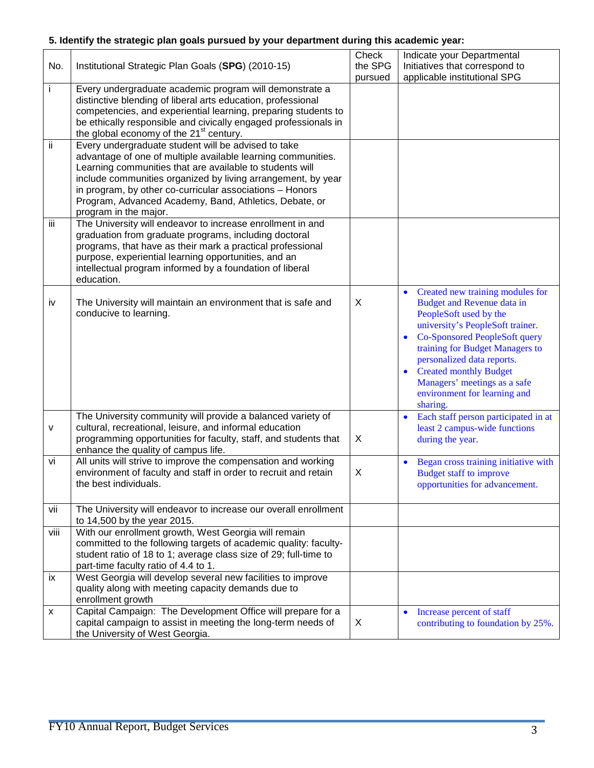# **5. Identify the strategic plan goals pursued by your department during this academic year:**

| No.  | Institutional Strategic Plan Goals (SPG) (2010-15)                                                                                                                                                                                                                                                                                                                                             | Check<br>the SPG<br>pursued | Indicate your Departmental<br>Initiatives that correspond to<br>applicable institutional SPG                                                                                                                                                                                                                                                                          |
|------|------------------------------------------------------------------------------------------------------------------------------------------------------------------------------------------------------------------------------------------------------------------------------------------------------------------------------------------------------------------------------------------------|-----------------------------|-----------------------------------------------------------------------------------------------------------------------------------------------------------------------------------------------------------------------------------------------------------------------------------------------------------------------------------------------------------------------|
| i    | Every undergraduate academic program will demonstrate a<br>distinctive blending of liberal arts education, professional<br>competencies, and experiential learning, preparing students to<br>be ethically responsible and civically engaged professionals in<br>the global economy of the 21 <sup>st</sup> century.                                                                            |                             |                                                                                                                                                                                                                                                                                                                                                                       |
| ii.  | Every undergraduate student will be advised to take<br>advantage of one of multiple available learning communities.<br>Learning communities that are available to students will<br>include communities organized by living arrangement, by year<br>in program, by other co-curricular associations - Honors<br>Program, Advanced Academy, Band, Athletics, Debate, or<br>program in the major. |                             |                                                                                                                                                                                                                                                                                                                                                                       |
| iij  | The University will endeavor to increase enrollment in and<br>graduation from graduate programs, including doctoral<br>programs, that have as their mark a practical professional<br>purpose, experiential learning opportunities, and an<br>intellectual program informed by a foundation of liberal<br>education.                                                                            |                             |                                                                                                                                                                                                                                                                                                                                                                       |
| iv   | The University will maintain an environment that is safe and<br>conducive to learning.                                                                                                                                                                                                                                                                                                         | X                           | Created new training modules for<br>$\bullet$<br>Budget and Revenue data in<br>PeopleSoft used by the<br>university's PeopleSoft trainer.<br>Co-Sponsored PeopleSoft query<br>$\bullet$<br>training for Budget Managers to<br>personalized data reports.<br><b>Created monthly Budget</b><br>Managers' meetings as a safe<br>environment for learning and<br>sharing. |
| v    | The University community will provide a balanced variety of<br>cultural, recreational, leisure, and informal education<br>programming opportunities for faculty, staff, and students that<br>enhance the quality of campus life.                                                                                                                                                               | X                           | Each staff person participated in at<br>$\bullet$<br>least 2 campus-wide functions<br>during the year.                                                                                                                                                                                                                                                                |
| vi   | All units will strive to improve the compensation and working<br>environment of faculty and staff in order to recruit and retain<br>the best individuals.                                                                                                                                                                                                                                      | X                           | Began cross training initiative with<br>$\bullet$<br>Budget staff to improve<br>opportunities for advancement.                                                                                                                                                                                                                                                        |
| vii  | The University will endeavor to increase our overall enrollment<br>to 14,500 by the year 2015.                                                                                                                                                                                                                                                                                                 |                             |                                                                                                                                                                                                                                                                                                                                                                       |
| viii | With our enrollment growth, West Georgia will remain<br>committed to the following targets of academic quality: faculty-<br>student ratio of 18 to 1; average class size of 29; full-time to<br>part-time faculty ratio of 4.4 to 1.                                                                                                                                                           |                             |                                                                                                                                                                                                                                                                                                                                                                       |
| ix   | West Georgia will develop several new facilities to improve<br>quality along with meeting capacity demands due to<br>enrollment growth                                                                                                                                                                                                                                                         |                             |                                                                                                                                                                                                                                                                                                                                                                       |
| x    | Capital Campaign: The Development Office will prepare for a<br>capital campaign to assist in meeting the long-term needs of<br>the University of West Georgia.                                                                                                                                                                                                                                 | X                           | Increase percent of staff<br>$\bullet$<br>contributing to foundation by 25%.                                                                                                                                                                                                                                                                                          |